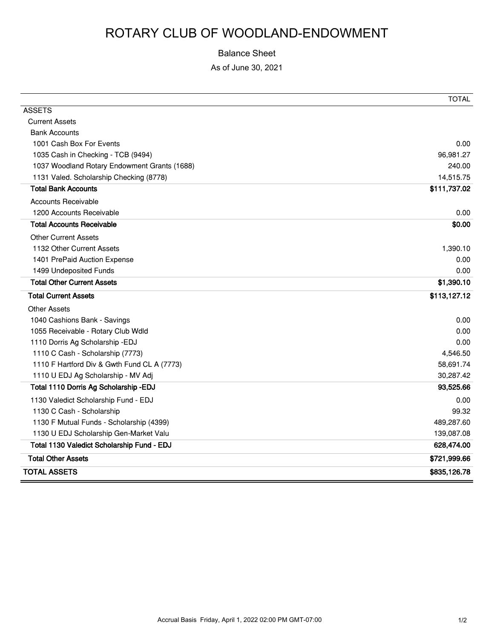## ROTARY CLUB OF WOODLAND-ENDOWMENT

## Balance Sheet

As of June 30, 2021

|                                              | <b>TOTAL</b> |
|----------------------------------------------|--------------|
| <b>ASSETS</b>                                |              |
| <b>Current Assets</b>                        |              |
| <b>Bank Accounts</b>                         |              |
| 1001 Cash Box For Events                     | 0.00         |
| 1035 Cash in Checking - TCB (9494)           | 96,981.27    |
| 1037 Woodland Rotary Endowment Grants (1688) | 240.00       |
| 1131 Valed. Scholarship Checking (8778)      | 14,515.75    |
| <b>Total Bank Accounts</b>                   | \$111,737.02 |
| <b>Accounts Receivable</b>                   |              |
| 1200 Accounts Receivable                     | 0.00         |
| <b>Total Accounts Receivable</b>             | \$0.00       |
| <b>Other Current Assets</b>                  |              |
| 1132 Other Current Assets                    | 1,390.10     |
| 1401 PrePaid Auction Expense                 | 0.00         |
| 1499 Undeposited Funds                       | 0.00         |
| <b>Total Other Current Assets</b>            | \$1,390.10   |
| <b>Total Current Assets</b>                  | \$113,127.12 |
| <b>Other Assets</b>                          |              |
| 1040 Cashions Bank - Savings                 | 0.00         |
| 1055 Receivable - Rotary Club Wdld           | 0.00         |
| 1110 Dorris Ag Scholarship - EDJ             | 0.00         |
| 1110 C Cash - Scholarship (7773)             | 4,546.50     |
| 1110 F Hartford Div & Gwth Fund CL A (7773)  | 58,691.74    |
| 1110 U EDJ Ag Scholarship - MV Adj           | 30,287.42    |
| Total 1110 Dorris Ag Scholarship - EDJ       | 93,525.66    |
| 1130 Valedict Scholarship Fund - EDJ         | 0.00         |
| 1130 C Cash - Scholarship                    | 99.32        |
| 1130 F Mutual Funds - Scholarship (4399)     | 489,287.60   |
| 1130 U EDJ Scholarship Gen-Market Valu       | 139,087.08   |
| Total 1130 Valedict Scholarship Fund - EDJ   | 628,474.00   |
| <b>Total Other Assets</b>                    | \$721,999.66 |
| <b>TOTAL ASSETS</b>                          | \$835,126.78 |